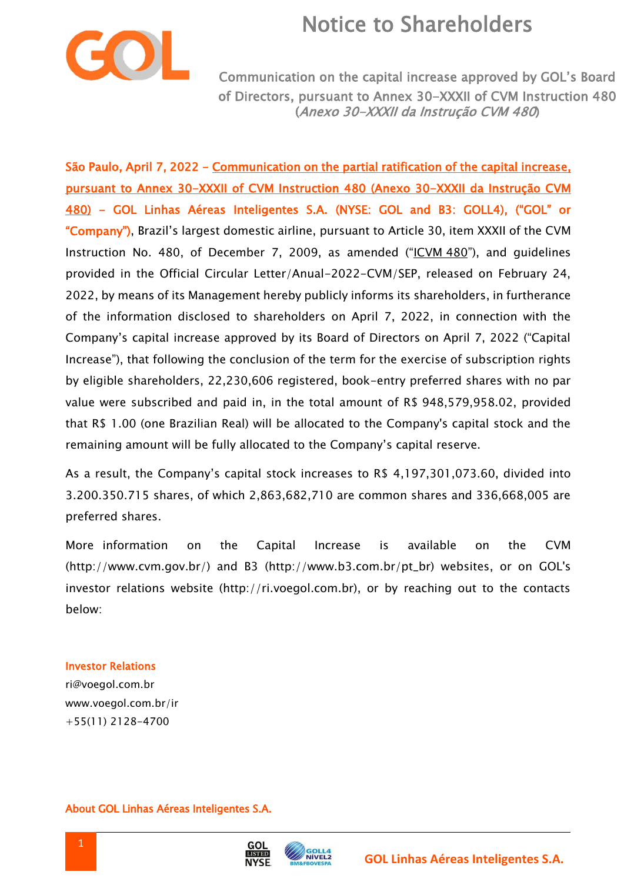## Notice to Shareholders



Communication on the capital increase approved by GOL's Board of Directors, pursuant to Annex 30-XXXII of CVM Instruction 480 (Anexo 30-XXXII da Instrução CVM 480)

São Paulo, April 7, 2022 - Communication on the partial ratification of the capital increase. pursuant to Annex 30-XXXII of CVM Instruction 480 (Anexo 30-XXXII da Instrução CVM 480) - GOL Linhas Aéreas Inteligentes S.A. (NYSE: GOL and B3: GOLL4), ("GOL" or "Company"), Brazil's largest domestic airline, pursuant to Article 30, item XXXII of the CVM Instruction No. 480, of December 7, 2009, as amended ("ICVM 480"), and guidelines provided in the Official Circular Letter/Anual-2022-CVM/SEP, released on February 24, 2022, by means of its Management hereby publicly informs its shareholders, in furtherance of the information disclosed to shareholders on April 7, 2022, in connection with the Company's capital increase approved by its Board of Directors on April 7, 2022 ("Capital Increase"), that following the conclusion of the term for the exercise of subscription rights by eligible shareholders, 22,230,606 registered, book-entry preferred shares with no par value were subscribed and paid in, in the total amount of R\$ 948,579,958.02, provided that R\$ 1.00 (one Brazilian Real) will be allocated to the Company's capital stock and the remaining amount will be fully allocated to the Company's capital reserve.

As a result, the Company's capital stock increases to R\$ 4,197,301,073.60, divided into 3.200.350.715 shares, of which 2,863,682,710 are common shares and 336,668,005 are preferred shares.

More information on the Capital Increase is available on the CVM (http://www.cvm.gov.br/) and B3 (http://www.b3.com.br/pt\_br) websites, or on GOL's investor relations website (http://ri.voegol.com.br), or by reaching out to the contacts below:

#### Investor Relations

ri@voegol.com.br www.voegol.com.br/ir +55(11) 2128-4700

### About GOL Linhas Aéreas Inteligentes S.A.



GOL